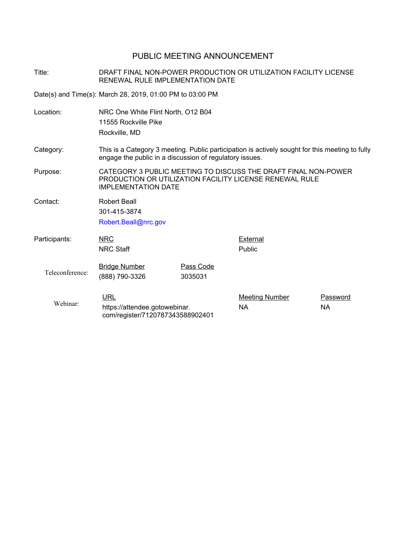## PUBLIC MEETING ANNOUNCEMENT

Title: DRAFT FINAL NON-POWER PRODUCTION OR UTILIZATION FACILITY LICENSE RENEWAL RULE IMPLEMENTATION DATE

Date(s) and Time(s): March 28, 2019, 01:00 PM to 03:00 PM

| Location:       | NRC One White Flint North, O12 B04<br>11555 Rockville Pike<br>Rockville, MD                                                                                |                      |                                    |                       |  |
|-----------------|------------------------------------------------------------------------------------------------------------------------------------------------------------|----------------------|------------------------------------|-----------------------|--|
| Category:       | This is a Category 3 meeting. Public participation is actively sought for this meeting to fully<br>engage the public in a discussion of regulatory issues. |                      |                                    |                       |  |
| Purpose:        | CATEGORY 3 PUBLIC MEETING TO DISCUSS THE DRAFT FINAL NON-POWER<br>PRODUCTION OR UTILIZATION FACILITY LICENSE RENEWAL RULE<br><b>IMPLEMENTATION DATE</b>    |                      |                                    |                       |  |
| Contact:        | Robert Beall<br>301-415-3874<br>Robert.Beall@nrc.gov                                                                                                       |                      |                                    |                       |  |
| Participants:   | <b>NRC</b><br><b>NRC Staff</b>                                                                                                                             |                      | <b>External</b><br>Public          |                       |  |
| Teleconference: | <b>Bridge Number</b><br>(888) 790-3326                                                                                                                     | Pass Code<br>3035031 |                                    |                       |  |
| Webinar:        | <b>URL</b><br>https://attendee.gotowebinar.<br>com/register/7120787343588902401                                                                            |                      | <b>Meeting Number</b><br><b>NA</b> | Password<br><b>NA</b> |  |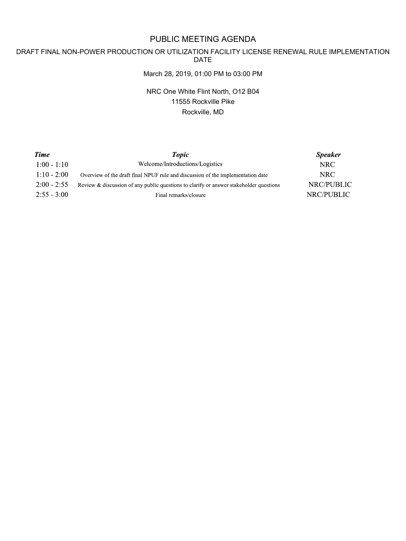# PUBLIC MEETING AGENDA

#### DRAFT FINAL NON-POWER PRODUCTION OR UTILIZATION FACILITY LICENSE RENEWAL RULE IMPLEMENTATION DATE

#### March 28, 2019, 01:00 PM to 03:00 PM

NRC One White Flint North, O12 B04 11555 Rockville Pike Rockville, MD

| <b>Time</b>   | <b>Topic</b>                                                                           | <b>Speaker</b>    |
|---------------|----------------------------------------------------------------------------------------|-------------------|
| $1:00 - 1:10$ | Welcome/Introductions/Logistics                                                        | NRC.              |
| $1:10 - 2:00$ | Overview of the draft final NPUF rule and discussion of the implementation date        | NRC.              |
| $2:00 - 2:55$ | Review & discussion of any public questions to clarify or answer stakeholder questions | <b>NRC/PUBLIC</b> |
| $2:55 - 3:00$ | Final remarks/closure                                                                  | NRC/PUBLIC        |